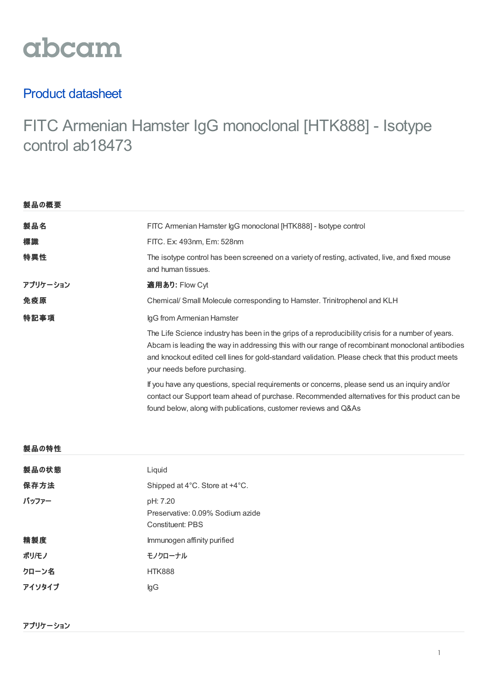

## Product datasheet

# FITC Armenian Hamster IgG monoclonal [HTK888] - Isotype control ab18473

| 製品の概要    |                                                                                                                                                                                                                                                                                                                                             |  |
|----------|---------------------------------------------------------------------------------------------------------------------------------------------------------------------------------------------------------------------------------------------------------------------------------------------------------------------------------------------|--|
| 製品名      | FITC Armenian Hamster IgG monoclonal [HTK888] - Isotype control                                                                                                                                                                                                                                                                             |  |
| 標識       | FITC. Ex: 493nm, Em: 528nm                                                                                                                                                                                                                                                                                                                  |  |
| 特異性      | The isotype control has been screened on a variety of resting, activated, live, and fixed mouse<br>and human tissues.                                                                                                                                                                                                                       |  |
| アプリケーション | 適用あり: Flow Cyt                                                                                                                                                                                                                                                                                                                              |  |
| 免疫原      | Chemical/ Small Molecule corresponding to Hamster. Trinitrophenol and KLH                                                                                                                                                                                                                                                                   |  |
| 特記事項     | IgG from Armenian Hamster                                                                                                                                                                                                                                                                                                                   |  |
|          | The Life Science industry has been in the grips of a reproducibility crisis for a number of years.<br>Abcam is leading the way in addressing this with our range of recombinant monoclonal antibodies<br>and knockout edited cell lines for gold-standard validation. Please check that this product meets<br>your needs before purchasing. |  |
|          | If you have any questions, special requirements or concerns, please send us an inquiry and/or<br>contact our Support team ahead of purchase. Recommended alternatives for this product can be<br>found below, along with publications, customer reviews and Q&As                                                                            |  |
|          |                                                                                                                                                                                                                                                                                                                                             |  |

#### 製品の特性

| 製品の状態  | Liquid                                                                  |
|--------|-------------------------------------------------------------------------|
| 保存方法   | Shipped at 4°C. Store at +4°C.                                          |
| バッファー  | pH: 7.20<br>Preservative: 0.09% Sodium azide<br><b>Constituent: PBS</b> |
| 精製度    | Immunogen affinity purified                                             |
| ポリ/モノ  | モノクローナル                                                                 |
| クローン名  | <b>HTK888</b>                                                           |
| アイソタイプ | lgG                                                                     |